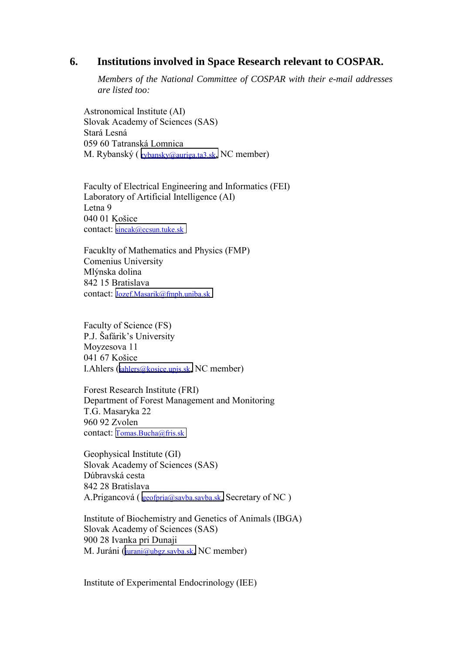## **6. Institutions involved in Space Research relevant to COSPAR.**

*Members of the National Committee of COSPAR with their e-mail addresses are listed too:* 

Astronomical Institute (AI) Slovak Academy of Sciences (SAS) Stará Lesná 059 60 Tatranská Lomnica M. Rybanský ( [rybansky@auriga.ta3.sk,](mailto:rybansky@auriga.ta3.sk) NC member)

Faculty of Electrical Engineering and Informatics (FEI) Laboratory of Artificial Intelligence (AI) Letna 9 040 01 Košice contact: [sincak@ccsun.tuke.sk](mailto:sincak@ccsun.tuke.sk)

Facuklty of Mathematics and Physics (FMP) Comenius University Mlýnska dolina 842 15 Bratislava contact: [Jozef.Masarik@fmph.uniba.sk](mailto:Jozef.Masarik@fmph.uniba.sk)

Faculty of Science (FS) P.J. Šafárik's University Moyzesova 11 041 67 Košice I.Ahlers ([iahlers@kosice.upjs.sk,](mailto:iahlers@kosice.upjs.sk) NC member)

Forest Research Institute (FRI) Department of Forest Management and Monitoring T.G. Masaryka 22 960 92 Zvolen contact: [Tomas.Bucha@fris.sk](mailto:Tomas.Bucha@fris.sk)

Geophysical Institute (GI) Slovak Academy of Sciences (SAS) Dúbravská cesta 842 28 Bratislava A.Prigancová ( [geofpria@savba.savba.sk,](mailto:geofpria@savba.savba.sk) Secretary of NC )

Institute of Biochemistry and Genetics of Animals (IBGA) Slovak Academy of Sciences (SAS) 900 28 Ivanka pri Dunaji M. Juráni ([jurani@ubgz.savba.sk,](mailto:jurani@savba.savba.sk) NC member)

Institute of Experimental Endocrinology (IEE)